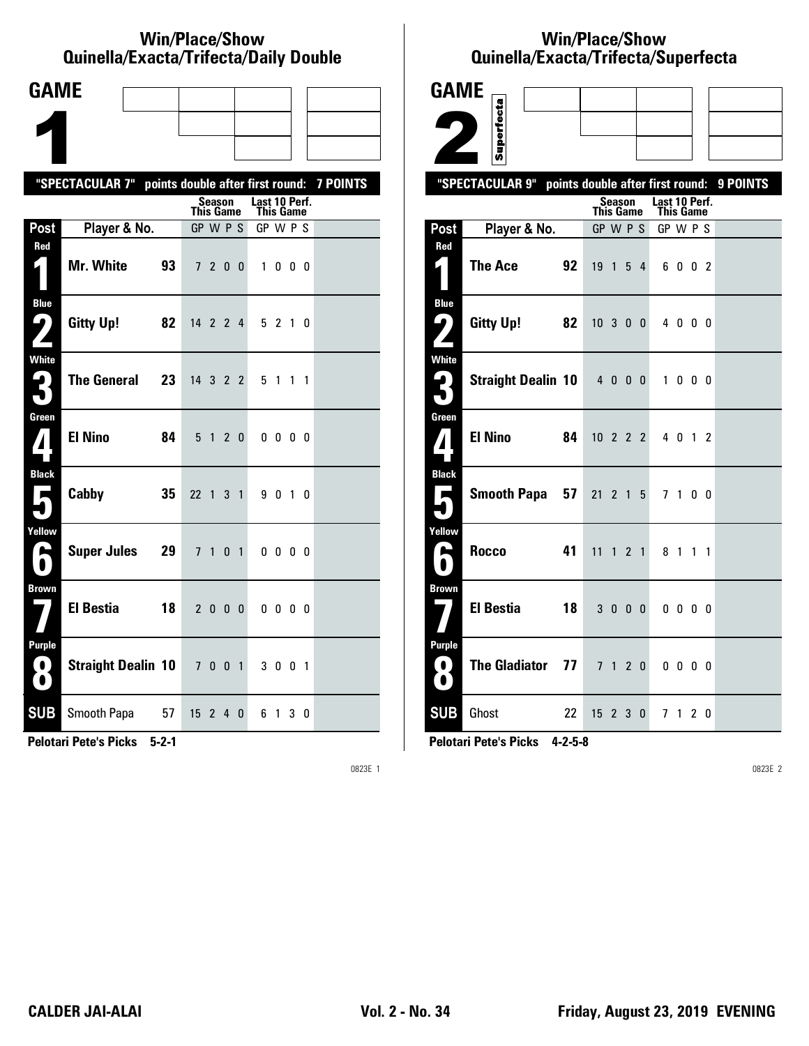#### **Win/Place/Show Quinella/Exacta/Trifecta/Daily Double**

| <b>GAME</b>                                           |                                                           |    |                  |               |                |   |               |                |           |   |  |
|-------------------------------------------------------|-----------------------------------------------------------|----|------------------|---------------|----------------|---|---------------|----------------|-----------|---|--|
|                                                       |                                                           |    |                  |               |                |   |               |                |           |   |  |
|                                                       |                                                           |    |                  |               |                |   |               |                |           |   |  |
|                                                       |                                                           |    |                  |               |                |   |               |                |           |   |  |
|                                                       | "SPECTACULAR 7" points double after first round: 7 POINTS |    |                  | <b>Season</b> |                |   | Last 10 Perf. |                |           |   |  |
|                                                       |                                                           |    | <b>This Game</b> |               |                |   | This Game     |                |           |   |  |
| Post                                                  | Player & No.                                              |    | GP W P S         |               |                |   | GP W P S      |                |           |   |  |
| Red<br>$\vert \vert$                                  | Mr. White                                                 | 93 |                  | 7 2 0 0       |                |   |               | 1000           |           |   |  |
| <b>Blue</b><br>$\boldsymbol{\varphi}$<br>$\mathbf{Z}$ | <b>Gitty Up!</b>                                          | 82 | 14 2 2 4         |               |                |   |               | 5210           |           |   |  |
| White<br>3                                            | <b>The General</b>                                        | 23 | 14 3 2 2         |               |                |   |               | 5 1            | $1\quad1$ |   |  |
| Green<br>$\mathbf{V}$                                 | <b>El Nino</b>                                            | 84 |                  | 5 1           | 2 <sub>0</sub> |   |               | $0\,0\,0\,0$   |           |   |  |
| <b>Black</b><br>$\blacksquare$                        | Cabby                                                     | 35 | 22 1 3 1         |               |                |   |               | 9 0 1 0        |           |   |  |
| Yellow<br>A<br>$\bullet$                              | <b>Super Jules</b>                                        | 29 | 7 <sub>1</sub>   |               | 0 <sub>1</sub> |   |               | $0\,0\,0\,0$   |           |   |  |
| <b>Brown</b>                                          | <b>El Bestia</b>                                          | 18 |                  | 2 0 0 0       |                |   |               | $0\,0\,0\,0$   |           |   |  |
| <b>Purple</b><br>$\bullet$<br>O                       | <b>Straight Dealin 10</b>                                 |    | 7001             |               |                |   |               | 3 0 0 1        |           |   |  |
| <b>SUB</b>                                            | Smooth Papa                                               | 57 | 15               | 2             | 4              | 0 | 6.            | $\overline{1}$ | 3         | 0 |  |

**Pelotari Pete's Picks 5-2-1**

0823E 1

# **Win/Place/Show Qui nel la/Exacta/Tri fecta/Super fecta**



**Pelotari Pete's Picks 4-2-5-8**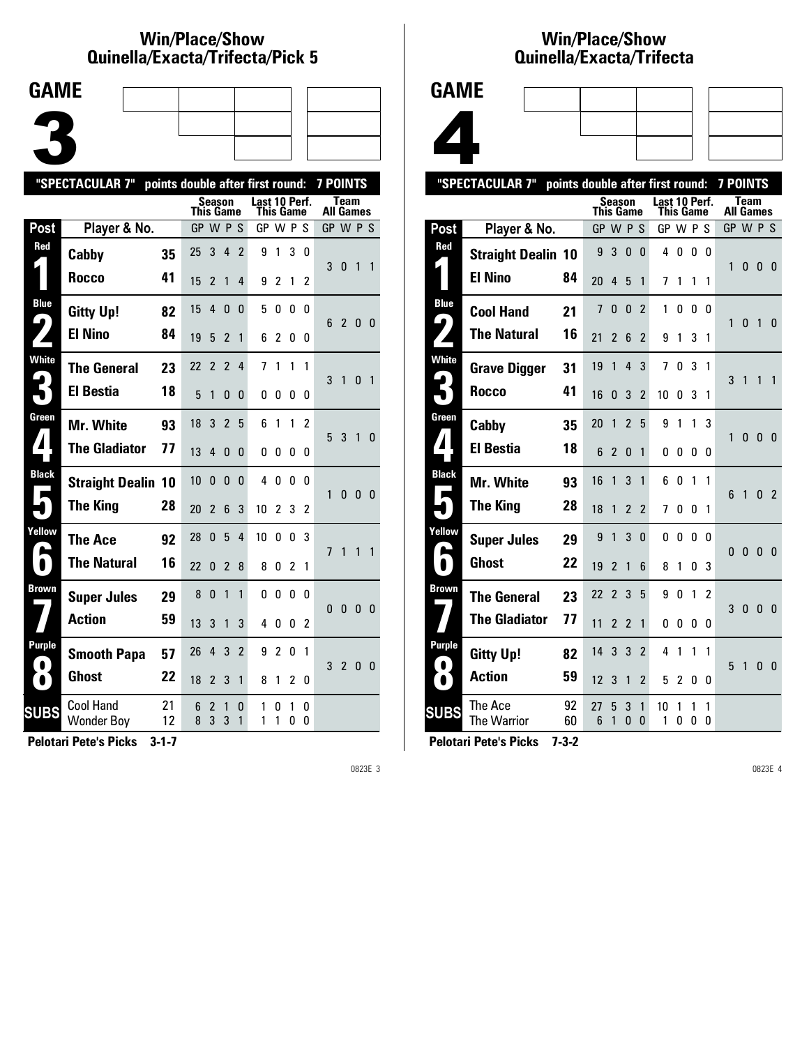#### **Win/Place/Show Qui nel la/Exacta/Tri fecta/Pick 5**



|                                      | "SPECTACULAR 7"                       | points double after first round: |           |                |                |                |               |                |                |                | <b>7 POINTS</b>  |                |                |                |
|--------------------------------------|---------------------------------------|----------------------------------|-----------|----------------|----------------|----------------|---------------|----------------|----------------|----------------|------------------|----------------|----------------|----------------|
|                                      |                                       |                                  | This Game | <b>Season</b>  |                |                | Last 10 Perf. | This Game      |                |                | <b>All Games</b> | <b>Team</b>    |                |                |
| Post                                 | Player & No.                          |                                  | GP W P S  |                |                |                | GP W P S      |                |                |                | GP W P S         |                |                |                |
| Red                                  | Cabby                                 | 35                               | 25        | 3              | 4              | $\overline{2}$ | 9             | 1              | 3              | 0              | 3                | $\mathbf{0}$   | $\mathbf{1}$   | $\overline{1}$ |
|                                      | <b>Rocco</b>                          | 41                               | 15        | 2              | $\mathbf{1}$   | 4              | 9             | $\mathfrak z$  | 1              | 2              |                  |                |                |                |
| <b>Blue</b><br>$\blacktriangleright$ | <b>Gitty Up!</b>                      | 82                               | 15        | 4              | $\mathbf{0}$   | 0              | 5             | 0              | 0              | 0              | 6                | $\overline{2}$ | $\mathbf{0}$   | - 0            |
|                                      | <b>El Nino</b>                        | 84                               | 19        | 5              | 2              | 1              | 6             | 2              | 0              | 0              |                  |                |                |                |
| <b>White</b>                         | <b>The General</b>                    | 23                               | 22        | $\overline{2}$ | $\overline{2}$ | 4              | 7             | 1              | 1              | 1              | 3                | 1              | 0 <sub>1</sub> |                |
|                                      | <b>El Bestia</b>                      | 18                               | 5         | 1              | 0              | 0              | 0             | 0              | 0              | 0              |                  |                |                |                |
| Green                                | Mr. White                             | 93                               | 18        | 3              | $\overline{2}$ | 5              | 6             | 1              | 1              | 2              | 5                | 3              | 1              | $\Omega$       |
|                                      | <b>The Gladiator</b>                  | 77                               | 13        | 4              | $\mathbf{0}$   | 0              | 0             | 0              | 0              | 0              |                  |                |                |                |
| <b>Black</b>                         | <b>Straight Dealin 10</b>             |                                  | 10        | $\Omega$       | $\mathbf{0}$   | 0              | 4             | 0              | 0              | n              | 1                | $\mathbf{0}$   | $\mathbf{0}$   | $\overline{0}$ |
|                                      | <b>The King</b>                       | 28                               | 20        | $\overline{2}$ | 6              | 3              | 10            | $\overline{2}$ | 3              | $\overline{2}$ |                  |                |                |                |
| Yellow                               | <b>The Ace</b>                        | 92                               | 28        | $\Omega$       | 5              | 4              | 10            | 0              | 0              | 3              | $\overline{1}$   | 1              | $\mathbf{1}$   | $\overline{1}$ |
| $\blacksquare$                       | <b>The Natural</b>                    | 16                               | 22        | 0              | 2              | 8              | 8             | 0              | $\overline{2}$ | 1              |                  |                |                |                |
| Brown                                | <b>Super Jules</b>                    | 29                               | 8         | 0              | 1              | 1              | 0             | 0              | 0              | 0              | $\Omega$         | $\mathbf{0}$   | $\mathbf{0}$   | - 0            |
|                                      | <b>Action</b>                         | 59                               | 13        | 3              | 1              | 3              | 4             | 0              | 0              | 2              |                  |                |                |                |
| Purple                               | <b>Smooth Papa</b>                    | 57                               | 26        | 4              | 3              | $\overline{2}$ | 9             | $\overline{2}$ | 0              | 1              | 3                | $\overline{2}$ | $\mathbf{0}$   | - 0            |
| $\bullet$                            | <b>Ghost</b>                          | 22                               | 18        | 2              | 3              | 1              | 8             | 1              | 2              | 0              |                  |                |                |                |
| <b>SUBS</b>                          | <b>Cool Hand</b><br><b>Wonder Boy</b> | 21<br>12                         | 6<br>8    | 2<br>3         | 1<br>3         | 0<br>1         | 1<br>1        | 0<br>1         | 1<br>0         | 0<br>0         |                  |                |                |                |
|                                      |                                       |                                  |           |                |                |                |               |                |                |                |                  |                |                |                |

**Pelotari Pete's Picks 3-1-7**

0823E 3

#### **Win/Place/Show Qui nel la/Exacta/Tri fecta**



|                           | "SPECTACULAR 7"           | points double after first round: |           |                |                |                |                            |        |        |                | <b>7 POINTS</b> |              |                |                |
|---------------------------|---------------------------|----------------------------------|-----------|----------------|----------------|----------------|----------------------------|--------|--------|----------------|-----------------|--------------|----------------|----------------|
|                           |                           |                                  | This Game | <b>Season</b>  |                |                | Last 10 Perf.<br>This Game |        |        |                | All Games       | <b>Team</b>  |                |                |
| Post                      | Player & No.              |                                  | GP        |                | WPS            |                | GP W P                     |        |        | S              | GP W P S        |              |                |                |
| Red                       | <b>Straight Dealin 10</b> |                                  | 9         | 3              | $\mathbf{0}$   | 0              | 4                          | 0      | 0      | 0              | 1               | 0            | $\bf{0}$       | 0              |
|                           | <b>El Nino</b>            | 84                               | 20        | 4              | 5              | 1              | 7                          | 1      | 1      | 1              |                 |              |                |                |
| <b>Blue</b><br>ڡ          | <b>Cool Hand</b>          | 21                               | 7         | 0              | $\mathbf{0}$   | $\overline{2}$ | 1                          | 0      | 0      | 0              | 1               | 0            | $\overline{1}$ | 0              |
|                           | <b>The Natural</b>        | 16                               | 21        | 2              | 6              | $\overline{2}$ | 9                          | 1      | 3      | 1              |                 |              |                |                |
| White                     | <b>Grave Digger</b>       | 31                               | 19        | 1              | 4              | 3              | 7                          | 0      | 3      | 1              | 3               | 1            | 1              | 1              |
|                           | Rocco                     | 41                               | 16        | 0              | 3              | $\overline{2}$ | 10                         | 0      | 3      | 1              |                 |              |                |                |
| Green<br>$\boldsymbol{I}$ | Cabby                     | 35                               | 20        | 1              | $\overline{2}$ | 5              | 9                          | 1      | 1      | 3              | 1               | 0            | $\mathbf{0}$   | 0              |
|                           | <b>El Bestia</b>          | 18                               | 6         | 2              | $\Omega$       | 1              | 0                          | 0      | 0      | 0              |                 |              |                |                |
| <b>Black</b><br>Е         | Mr. White                 | 93                               | 16        | 1              | 3              | 1              | 6                          | 0      | 1      | 1              | 6               | 1            | 0              | $\overline{2}$ |
|                           | <b>The King</b>           | 28                               | 18        | 1              | $\overline{2}$ | $\overline{2}$ | 7                          | 0      | 0      | 1              |                 |              |                |                |
| Yellow                    | <b>Super Jules</b>        | 29                               | 9         | 1              | 3              | 0              | 0                          | 0      | 0      | 0              | $\mathbf{0}$    | $\mathbf{0}$ | $\mathbf{0}$   | $\overline{0}$ |
| $\blacksquare$            | <b>Ghost</b>              | 22                               | 19        | $\overline{2}$ | 1              | 6              | 8                          | 1      | 0      | 3              |                 |              |                |                |
| Brown                     | <b>The General</b>        | 23                               | 22        | $\overline{2}$ | 3              | 5              | 9                          | 0      | 1      | $\overline{2}$ | 3               | $\mathbf{0}$ | $\mathbf{0}$   | $\mathbf{0}$   |
|                           | <b>The Gladiator</b>      | 77                               | 11        | $\overline{2}$ | $\overline{2}$ | 1              | 0                          | 0      | 0      | 0              |                 |              |                |                |
| Purple<br>$\bullet$       | <b>Gitty Up!</b>          | 82                               | 14        | 3              | 3              | $\overline{2}$ | 4                          | 1      | 1      | 1              | 5               | 1            | 0              | - 0            |
| $\bullet$                 | <b>Action</b>             | 59                               | 12        | 3              | 1              | 2              | 5                          | 2      | 0      | 0              |                 |              |                |                |
| <b>SUBS</b>               | The Ace<br>The Warrior    | 92<br>60                         | 27<br>6   | 5<br>1         | 3<br>0         | 1<br>$\Omega$  | 10<br>1                    | 1<br>0 | 1<br>0 | 1<br>0         |                 |              |                |                |
|                           |                           |                                  |           |                |                |                |                            |        |        |                |                 |              |                |                |

**Pelotari Pete's Picks 7-3-2**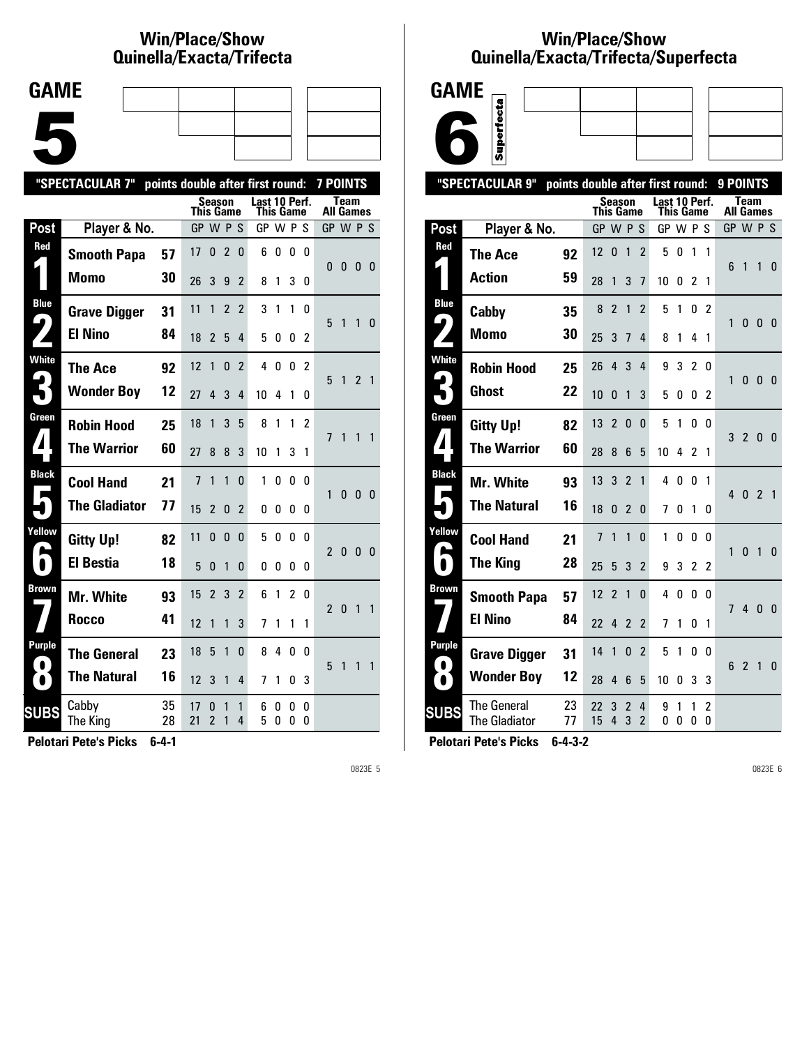# **Win/Place/Show Qui nel la/Exacta/Tri fecta**



|                  | "SPECTACULAR 7"      | points double after first round: |                |                |                |                          |                            |        |                |               | <b>7 POINTS</b>          |              |                |                |
|------------------|----------------------|----------------------------------|----------------|----------------|----------------|--------------------------|----------------------------|--------|----------------|---------------|--------------------------|--------------|----------------|----------------|
|                  |                      |                                  | This Game      | Season         |                |                          | Last 10 Perf.<br>This Game |        |                |               | All Games                | Team         |                |                |
| <b>Post</b>      | Player & No.         |                                  | GP W P S       |                |                |                          | GP W P                     |        |                | S             | GP W P S                 |              |                |                |
| Red              | <b>Smooth Papa</b>   | 57                               | 17             | 0              | $\overline{2}$ | 0                        | 6                          | 0      | 0              | 0             | $\mathbf{0}$             | 0            | 0              | $\mathbf{0}$   |
|                  | <b>Momo</b>          | 30                               | 26             | 3              | 9              | $\overline{2}$           | 8                          | 1      | 3              | 0             |                          |              |                |                |
| <b>Blue</b><br>9 | <b>Grave Digger</b>  | 31                               | 11             | 1              | $\overline{2}$ | $\overline{2}$           | 3                          | 1      | 1              | 0             | 5                        | 1            | 1              | 0              |
|                  | <b>El Nino</b>       | 84                               | 18             | 2              | 5              | 4                        | 5                          | 0      | 0              | 2             |                          |              |                |                |
| <b>White</b>     | The Ace              | 92                               | 12             | 1              | 0              | $\overline{2}$           | 4                          | 0      | 0              | 2             | 5                        | 1            | $\overline{2}$ | $\overline{1}$ |
|                  | <b>Wonder Boy</b>    | 12                               | 27             | 4              | 3              | 4                        | 10                         | 4      | 1              | 0             |                          |              |                |                |
| Green            | <b>Robin Hood</b>    | 25                               | 18             | 1              | 3              | 5                        | 8                          | 1      | 1              | $\mathfrak z$ | 7                        | 1            | 1              | $\mathbf{1}$   |
|                  | <b>The Warrior</b>   | 60                               | 27             | 8              | 8              | 3                        | 10                         | 1      | 3              | 1             |                          |              |                |                |
| <b>Black</b>     | <b>Cool Hand</b>     | 21                               | $\overline{7}$ | 1              | 1              | 0                        | 1                          | 0      | 0              | 0             | 1                        | $\mathbf{0}$ | $\mathbf{0}$   | $\mathbf{0}$   |
|                  | <b>The Gladiator</b> | 77                               | 15             | 2              | 0              | $\overline{\phantom{a}}$ | 0                          | U      | 0              | 0             |                          |              |                |                |
| Yellow           | <b>Gitty Up!</b>     | 82                               | 11             | 0              | 0              | 0                        | 5                          | 0      | 0              | n             | $\overline{2}$           | $\mathbf{0}$ | $\mathbf{0}$   | 0              |
|                  | <b>El Bestia</b>     | 18                               | 5              | 0              | 1              | 0                        | 0                          | 0      | 0              | 0             |                          |              |                |                |
| Brown            | Mr. White            | 93                               | 15             | $\overline{2}$ | 3              | $\overline{2}$           | 6                          | 1      | $\overline{2}$ | 0             | $\overline{\phantom{a}}$ | $\Omega$     | 1              | 1              |
|                  | Rocco                | 41                               | 12             | 1              | 1              | 3                        | 7                          | 1      | 1              | 1             |                          |              |                |                |
| Purple           | <b>The General</b>   | 23                               | 18             | 5              | 1              | 0                        | 8                          | 4      | 0              | 0             | 5                        | 1            | 1              | 1              |
|                  | <b>The Natural</b>   | 16                               | 12             | 3              | 1              | 4                        | 7                          | 1      | 0              | 3             |                          |              |                |                |
| SUBS             | Cabby<br>The King    | 35<br>28                         | 17<br>21       | 0<br>2         | 1<br>1         | 1<br>4                   | 6<br>5                     | 0<br>0 | 0<br>0         | 0<br>0        |                          |              |                |                |
|                  |                      |                                  |                |                |                |                          |                            |        |                |               |                          |              |                |                |

**Pelotari Pete's Picks 6-4-1**

0823E 5

## **Win/Place/Show Qui nel la/Exacta/Tri fecta/Super fecta**



|                        | "SPECTACULAR 9"                            | points double after first round: |                |                |                          |                     |               |           |                |              | 9 POINTS         |                |                |                |
|------------------------|--------------------------------------------|----------------------------------|----------------|----------------|--------------------------|---------------------|---------------|-----------|----------------|--------------|------------------|----------------|----------------|----------------|
|                        |                                            |                                  | This Game      | <b>Season</b>  |                          |                     | Last 10 Perf. | This Game |                |              | <b>All Games</b> | <b>Team</b>    |                |                |
| Post                   | Player & No.                               |                                  | GP W P S       |                |                          |                     | GP W P S      |           |                |              | GP W P S         |                |                |                |
| Red                    | <b>The Ace</b>                             | 92                               | 12             | 0              | 1                        | $\overline{2}$      | 5             | 0         | 1              | 1            |                  |                |                |                |
|                        | <b>Action</b>                              | 59                               | 28             | 1              | 3                        | 7                   | 10            | 0         | 2              | 1            | 6                | $\mathbf{1}$   | 1              | $\mathbf{0}$   |
| <b>Blue</b>            | Cabby                                      | 35                               | 8              | $\overline{c}$ | 1                        | $\overline{2}$      | 5             | 1         | 0              | 2            |                  |                |                |                |
| $\blacktriangleright$  | Momo                                       | 30                               | 25             | 3              | 7                        | 4                   | 8             | 1         | 4              | 1            | 1                | 0              | - 0            | - 0            |
| White                  | <b>Robin Hood</b>                          | 25                               | 26             | 4              | 3                        | 4                   | 9             | 3         | $\overline{2}$ | 0            | 1                |                | $\mathbf{0}$   |                |
|                        | <b>Ghost</b>                               | 22                               | 10             | 0              | 1                        | 3                   | 5             | 0         | 0              | 2            |                  | 0              |                | - 0            |
| Green                  | <b>Gitty Up!</b>                           | 82                               | 13             | $\overline{2}$ | $\Omega$                 | $\Omega$            | 5             | 1         | 0              | <sup>0</sup> | 3                | $\overline{2}$ | $\mathbf{0}$   | - 0            |
| $\blacktriangle$       | <b>The Warrior</b>                         | 60                               | 28             | 8              | 6                        | 5                   | 10            | 4         | $\mathfrak z$  | 1            |                  |                |                |                |
| <b>Black</b>           | Mr. White                                  | 93                               | 13             | 3              | $\overline{\phantom{a}}$ | 1                   | 4             | 0         | 0              | 1            | $\overline{4}$   | $\mathbf{0}$   | $\overline{2}$ | $\overline{1}$ |
| Е                      | <b>The Natural</b>                         | 16                               | 18             | 0              | $\mathfrak{p}$           | $\Omega$            | 7             | 0         | 1              | 0            |                  |                |                |                |
| Yellow                 | <b>Cool Hand</b>                           | 21                               | $\overline{1}$ | 1              | 1                        | 0                   | 1             | 0         | 0              | 0            |                  | $\mathbf{0}$   | $\overline{1}$ |                |
| $\bullet$              | <b>The King</b>                            | 28                               | 25             | 5              | 3                        | $\overline{2}$      | 9             | 3         | $\overline{2}$ | 2            | 1                |                |                | $\mathbf{0}$   |
| Brown                  | <b>Smooth Papa</b>                         | 57                               | 12             | $\overline{2}$ | 1                        | $\Omega$            | 4             | 0         | 0              | 0            | 7                | $\overline{4}$ |                |                |
|                        | <b>El Nino</b>                             | 84                               | 22             | 4              | 2                        | 2                   | 7             | 1         | 0              | 1            |                  |                | $\mathbf{0}$   | $\overline{0}$ |
| Purple                 | <b>Grave Digger</b>                        | 31                               | 14             | 1              | 0                        | $\overline{c}$      | 5             | 1         | 0              | 0            |                  |                |                |                |
| $\bullet$<br>$\bullet$ | <b>Wonder Boy</b>                          | 12                               | 28             | 4              | 6                        | 5                   | 10            | 0         | 3              | 3            | 6                | $\overline{2}$ | 1              | $\mathbf{0}$   |
| <b>SUBS</b>            | <b>The General</b><br><b>The Gladiator</b> | 23<br>77                         | 22<br>15       | 3<br>4         | 2<br>3                   | 4<br>$\overline{2}$ | 9<br>0        | 1<br>0    | 1<br>0         | 2<br>0       |                  |                |                |                |
|                        |                                            |                                  |                |                |                          |                     |               |           |                |              |                  |                |                |                |

**Pelotari Pete's Picks 6-4-3-2**